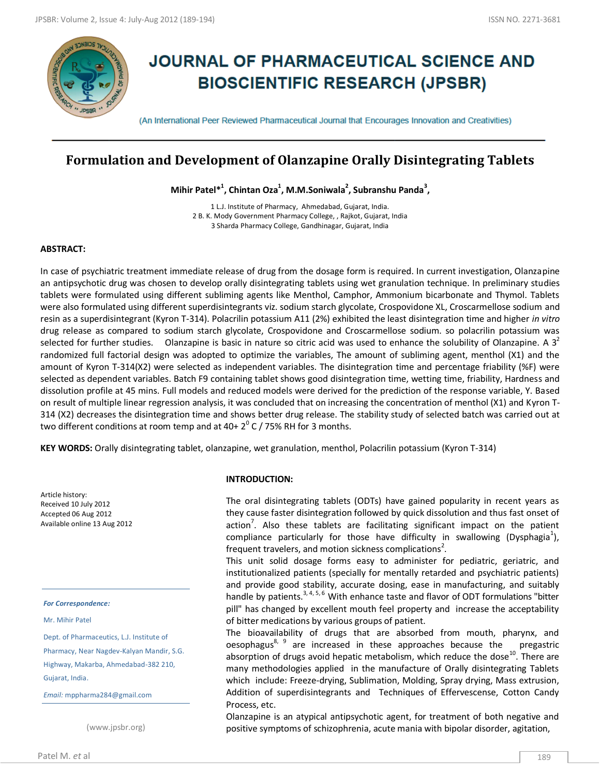

# **JOURNAL OF PHARMACEUTICAL SCIENCE AND BIOSCIENTIFIC RESEARCH (JPSBR)**

(An International Peer Reviewed Pharmaceutical Journal that Encourages Innovation and Creativities)

## **Formulation and Development of Olanzapine Orally Disintegrating Tablets**

**Mihir Patel\*<sup>1</sup> , Chintan Oza<sup>1</sup> , M.M.Soniwala<sup>2</sup> , Subranshu Panda<sup>3</sup> ,**

1 L.J. Institute of Pharmacy, Ahmedabad, Gujarat, India. 2 B. K. Mody Government Pharmacy College, , Rajkot, Gujarat, India 3 Sharda Pharmacy College, Gandhinagar, Gujarat, India

### **ABSTRACT:**

In case of psychiatric treatment immediate release of drug from the dosage form is required. In current investigation, Olanzapine an antipsychotic drug was chosen to develop orally disintegrating tablets using wet granulation technique. In preliminary studies tablets were formulated using different subliming agents like Menthol, Camphor, Ammonium bicarbonate and Thymol. Tablets were also formulated using different superdisintegrants viz. sodium starch glycolate, Crospovidone XL, Croscarmellose sodium and resin as a superdisintegrant (Kyron T-314). Polacrilin potassium A11 (2%) exhibited the least disintegration time and higher *in vitro* drug release as compared to sodium starch glycolate, Crospovidone and Croscarmellose sodium. so polacrilin potassium was selected for further studies. Olanzapine is basic in nature so citric acid was used to enhance the solubility of Olanzapine. A  $3<sup>2</sup>$ randomized full factorial design was adopted to optimize the variables, The amount of subliming agent, menthol (X1) and the amount of Kyron T-314(X2) were selected as independent variables. The disintegration time and percentage friability (%F) were selected as dependent variables. Batch F9 containing tablet shows good disintegration time, wetting time, friability, Hardness and dissolution profile at 45 mins. Full models and reduced models were derived for the prediction of the response variable, Y. Based on result of multiple linear regression analysis, it was concluded that on increasing the concentration of menthol (X1) and Kyron T-314 (X2) decreases the disintegration time and shows better drug release. The stability study of selected batch was carried out at two different conditions at room temp and at 40+ 2 $^{\circ}$  C / 75% RH for 3 months.

**KEY WORDS:** Orally disintegrating tablet, olanzapine, wet granulation, menthol, Polacrilin potassium (Kyron T-314)

Article history: Received 10 July 2012 Accepted 06 Aug 2012 Available online 13 Aug 2012

#### *For Correspondence:*

Mr. Mihir Patel

Dept. of Pharmaceutics, L.J. Institute of Pharmacy, Near Nagdev-Kalyan Mandir, S.G. Highway, Makarba, Ahmedabad-382 210, Gujarat, India.

*Email:* mppharma284@gmail.com

(www.jpsbr.org)

### **INTRODUCTION:**

The oral disintegrating tablets (ODTs) have gained popularity in recent years as they cause faster disintegration followed by quick dissolution and thus fast onset of action<sup>7</sup>. Also these tablets are facilitating significant impact on the patient compliance particularly for those have difficulty in swallowing (Dysphagia<sup>1</sup>), frequent travelers, and motion sickness complications<sup>2</sup>.

This unit solid dosage forms easy to administer for pediatric, geriatric, and institutionalized patients (specially for mentally retarded and psychiatric patients) and provide good stability, accurate dosing, ease in manufacturing, and suitably handle by patients.<sup>3, 4, 5, 6</sup> With enhance taste and flavor of ODT formulations "bitter pill" has changed by excellent mouth feel property and increase the acceptability of bitter medications by various groups of patient.

The bioavailability of drugs that are absorbed from mouth, pharynx, and oesophagus<sup>8, 9</sup> are increased in these approaches because the pregastric absorption of drugs avoid hepatic metabolism, which reduce the dose<sup>10</sup>. There are many methodologies applied in the manufacture of Orally disintegrating Tablets which include: Freeze-drying, Sublimation, Molding, Spray drying, Mass extrusion, Addition of superdisintegrants and Techniques of Effervescense, Cotton Candy Process, etc.

Olanzapine is an atypical antipsychotic agent, for treatment of both negative and positive symptoms of schizophrenia, acute mania with bipolar disorder, agitation,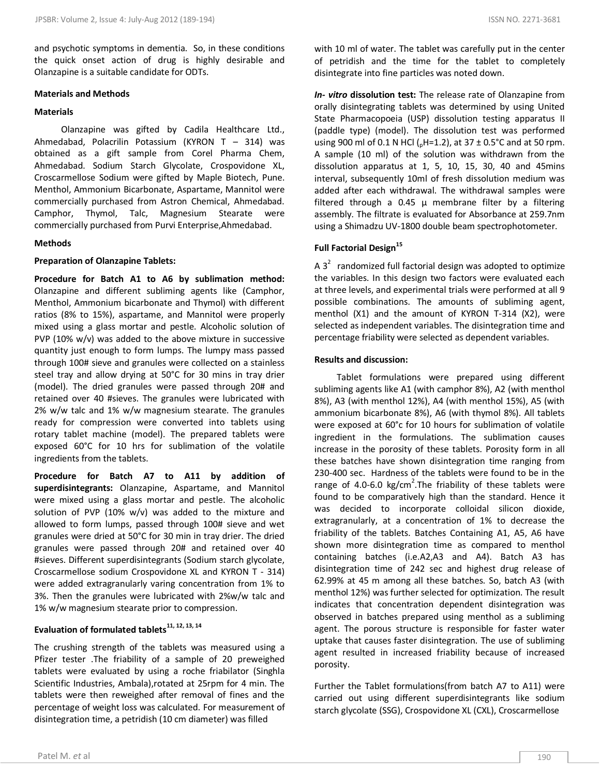and psychotic symptoms in dementia. So, in these conditions the quick onset action of drug is highly desirable and Olanzapine is a suitable candidate for ODTs.

### **Materials and Methods**

### **Materials**

 Olanzapine was gifted by Cadila Healthcare Ltd., Ahmedabad, Polacrilin Potassium (KYRON T – 314) was obtained as a gift sample from Corel Pharma Chem, Ahmedabad. Sodium Starch Glycolate, Crospovidone XL, Croscarmellose Sodium were gifted by Maple Biotech, Pune. Menthol, Ammonium Bicarbonate, Aspartame, Mannitol were commercially purchased from Astron Chemical, Ahmedabad. Camphor, Thymol, Talc, Magnesium Stearate were commercially purchased from Purvi Enterprise,Ahmedabad.

### **Methods**

### **Preparation of Olanzapine Tablets:**

**Procedure for Batch A1 to A6 by sublimation method:** Olanzapine and different subliming agents like (Camphor, Menthol, Ammonium bicarbonate and Thymol) with different ratios (8% to 15%), aspartame, and Mannitol were properly mixed using a glass mortar and pestle. Alcoholic solution of PVP (10% w/v) was added to the above mixture in successive quantity just enough to form lumps. The lumpy mass passed through 100# sieve and granules were collected on a stainless steel tray and allow drying at 50°C for 30 mins in tray drier (model). The dried granules were passed through 20# and retained over 40 #sieves. The granules were lubricated with 2% w/w talc and 1% w/w magnesium stearate. The granules ready for compression were converted into tablets using rotary tablet machine (model). The prepared tablets were exposed 60°C for 10 hrs for sublimation of the volatile ingredients from the tablets.

**Procedure for Batch A7 to A11 by addition of superdisintegrants:** Olanzapine, Aspartame, and Mannitol were mixed using a glass mortar and pestle. The alcoholic solution of PVP (10% w/v) was added to the mixture and allowed to form lumps, passed through 100# sieve and wet granules were dried at 50°C for 30 min in tray drier. The dried granules were passed through 20# and retained over 40 #sieves. Different superdisintegrants (Sodium starch glycolate, Croscarmellose sodium Crospovidone XL and KYRON T - 314) were added extragranularly varing concentration from 1% to 3%. Then the granules were lubricated with 2%w/w talc and 1% w/w magnesium stearate prior to compression.

### **Evaluation of formulated tablets11, 12, 13, 14**

The crushing strength of the tablets was measured using a Pfizer tester .The friability of a sample of 20 preweighed tablets were evaluated by using a roche friabilator (Singhla Scientific Industries, Ambala),rotated at 25rpm for 4 min. The tablets were then reweighed after removal of fines and the percentage of weight loss was calculated. For measurement of disintegration time, a petridish (10 cm diameter) was filled

with 10 ml of water. The tablet was carefully put in the center of petridish and the time for the tablet to completely disintegrate into fine particles was noted down.

*In- vitro* **dissolution test:** The release rate of Olanzapine from orally disintegrating tablets was determined by using United State Pharmacopoeia (USP) dissolution testing apparatus II (paddle type) (model). The dissolution test was performed using 900 ml of 0.1 N HCl ( $nH$ =1.2), at 37 ± 0.5°C and at 50 rpm. A sample (10 ml) of the solution was withdrawn from the dissolution apparatus at 1, 5, 10, 15, 30, 40 and 45mins interval, subsequently 10ml of fresh dissolution medium was added after each withdrawal. The withdrawal samples were filtered through a 0.45  $\mu$  membrane filter by a filtering assembly. The filtrate is evaluated for Absorbance at 259.7nm using a Shimadzu UV-1800 double beam spectrophotometer.

### **Full Factorial Design<sup>15</sup>**

A  $3^2$  randomized full factorial design was adopted to optimize the variables. In this design two factors were evaluated each at three levels, and experimental trials were performed at all 9 possible combinations. The amounts of subliming agent, menthol (X1) and the amount of KYRON T-314 (X2), were selected as independent variables. The disintegration time and percentage friability were selected as dependent variables.

### **Results and discussion:**

 Tablet formulations were prepared using different subliming agents like A1 (with camphor 8%), A2 (with menthol 8%), A3 (with menthol 12%), A4 (with menthol 15%), A5 (with ammonium bicarbonate 8%), A6 (with thymol 8%). All tablets were exposed at 60°c for 10 hours for sublimation of volatile ingredient in the formulations. The sublimation causes increase in the porosity of these tablets. Porosity form in all these batches have shown disintegration time ranging from 230-400 sec. Hardness of the tablets were found to be in the range of 4.0-6.0 kg/cm<sup>2</sup>. The friability of these tablets were found to be comparatively high than the standard. Hence it was decided to incorporate colloidal silicon dioxide, extragranularly, at a concentration of 1% to decrease the friability of the tablets. Batches Containing A1, A5, A6 have shown more disintegration time as compared to menthol containing batches (i.e.A2,A3 and A4). Batch A3 has disintegration time of 242 sec and highest drug release of 62.99% at 45 m among all these batches. So, batch A3 (with menthol 12%) was further selected for optimization. The result indicates that concentration dependent disintegration was observed in batches prepared using menthol as a subliming agent. The porous structure is responsible for faster water uptake that causes faster disintegration. The use of subliming agent resulted in increased friability because of increased porosity.

Further the Tablet formulations(from batch A7 to A11) were carried out using different superdisintegrants like sodium starch glycolate (SSG), Crospovidone XL (CXL), Croscarmellose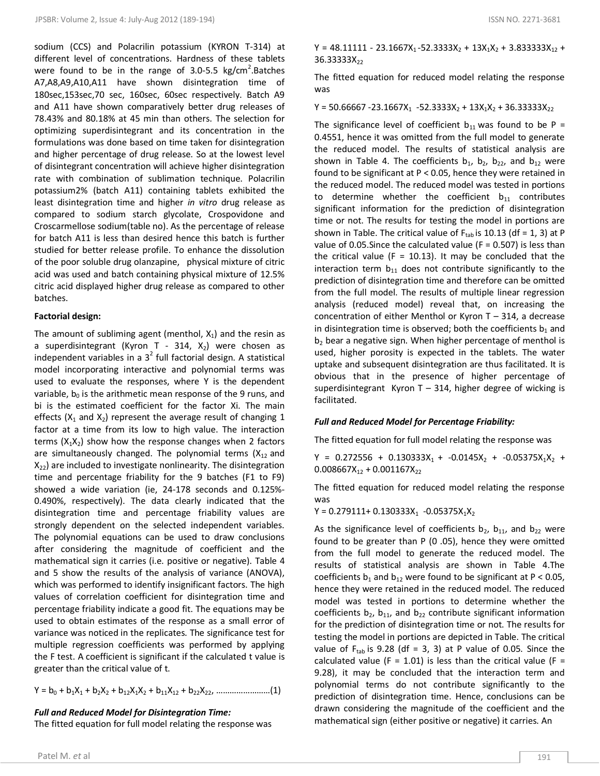sodium (CCS) and Polacrilin potassium (KYRON T-314) at different level of concentrations. Hardness of these tablets were found to be in the range of  $3.0 - 5.5$  kg/cm<sup>2</sup>. Batches A7,A8,A9,A10,A11 have shown disintegration time of 180sec,153sec,70 sec, 160sec, 60sec respectively. Batch A9 and A11 have shown comparatively better drug releases of 78.43% and 80.18% at 45 min than others. The selection for optimizing superdisintegrant and its concentration in the formulations was done based on time taken for disintegration and higher percentage of drug release. So at the lowest level of disintegrant concentration will achieve higher disintegration rate with combination of sublimation technique. Polacrilin potassium2% (batch A11) containing tablets exhibited the least disintegration time and higher *in vitro* drug release as compared to sodium starch glycolate, Crospovidone and Croscarmellose sodium(table no). As the percentage of release for batch A11 is less than desired hence this batch is further studied for better release profile. To enhance the dissolution of the poor soluble drug olanzapine, physical mixture of citric acid was used and batch containing physical mixture of 12.5% citric acid displayed higher drug release as compared to other batches.

### **Factorial design:**

The amount of subliming agent (menthol,  $X_1$ ) and the resin as a superdisintegrant (Kyron T - 314,  $X_2$ ) were chosen as independent variables in a  $3^2$  full factorial design. A statistical model incorporating interactive and polynomial terms was used to evaluate the responses, where Y is the dependent variable,  $b_0$  is the arithmetic mean response of the 9 runs, and bi is the estimated coefficient for the factor Xi. The main effects ( $X_1$  and  $X_2$ ) represent the average result of changing 1 factor at a time from its low to high value. The interaction terms  $(X_1X_2)$  show how the response changes when 2 factors are simultaneously changed. The polynomial terms  $(X_{12}$  and  $X_{22}$ ) are included to investigate nonlinearity. The disintegration time and percentage friability for the 9 batches (F1 to F9) showed a wide variation (ie, 24-178 seconds and 0.125%- 0.490%, respectively). The data clearly indicated that the disintegration time and percentage friability values are strongly dependent on the selected independent variables. The polynomial equations can be used to draw conclusions after considering the magnitude of coefficient and the mathematical sign it carries (i.e. positive or negative). Table 4 and 5 show the results of the analysis of variance (ANOVA), which was performed to identify insignificant factors. The high values of correlation coefficient for disintegration time and percentage friability indicate a good fit. The equations may be used to obtain estimates of the response as a small error of variance was noticed in the replicates. The significance test for multiple regression coefficients was performed by applying the F test. A coefficient is significant if the calculated t value is greater than the critical value of t.

Y = b<sup>0</sup> + b1X<sup>1</sup> + b2X<sup>2</sup> + b12X1X<sup>2</sup> + b11X<sup>12</sup> + b22X22, ……………………(1)

### *Full and Reduced Model for Disintegration Time:*

The fitted equation for full model relating the response was

 $Y = 48.11111 - 23.1667X_1 - 52.3333X_2 + 13X_1X_2 + 3.833333X_{12} +$ 36.33333X<sub>22</sub>

The fitted equation for reduced model relating the response was

 $Y = 50.66667 - 23.1667X_1 - 52.3333X_2 + 13X_1X_2 + 36.33333X_{22}$ 

The significance level of coefficient  $b_{11}$  was found to be P = 0.4551, hence it was omitted from the full model to generate the reduced model. The results of statistical analysis are shown in Table 4. The coefficients  $b_1$ ,  $b_2$ ,  $b_{22}$ , and  $b_{12}$  were found to be significant at P < 0.05, hence they were retained in the reduced model. The reduced model was tested in portions to determine whether the coefficient  $b_{11}$  contributes significant information for the prediction of disintegration time or not. The results for testing the model in portions are shown in Table. The critical value of  $F_{tab}$  is 10.13 (df = 1, 3) at P value of 0.05. Since the calculated value ( $F = 0.507$ ) is less than the critical value ( $F = 10.13$ ). It may be concluded that the interaction term  $b_{11}$  does not contribute significantly to the prediction of disintegration time and therefore can be omitted from the full model. The results of multiple linear regression analysis (reduced model) reveal that, on increasing the concentration of either Menthol or Kyron T – 314, a decrease in disintegration time is observed; both the coefficients  $b_1$  and  $b<sub>2</sub>$  bear a negative sign. When higher percentage of menthol is used, higher porosity is expected in the tablets. The water uptake and subsequent disintegration are thus facilitated. It is obvious that in the presence of higher percentage of superdisintegrant Kyron  $T - 314$ , higher degree of wicking is facilitated.

### *Full and Reduced Model for Percentage Friability:*

The fitted equation for full model relating the response was

 $Y = 0.272556 + 0.130333X_1 + -0.0145X_2 + -0.05375X_1X_2 +$  $0.008667X_{12} + 0.001167X_{22}$ 

The fitted equation for reduced model relating the response was

 $Y = 0.279111 + 0.130333X_1 - 0.05375X_1X_2$ 

As the significance level of coefficients  $b_2$ ,  $b_{11}$ , and  $b_{22}$  were found to be greater than P (0 .05), hence they were omitted from the full model to generate the reduced model. The results of statistical analysis are shown in Table 4.The coefficients  $b_1$  and  $b_{12}$  were found to be significant at P < 0.05, hence they were retained in the reduced model. The reduced model was tested in portions to determine whether the coefficients  $b_2$ ,  $b_{11}$ , and  $b_{22}$  contribute significant information for the prediction of disintegration time or not. The results for testing the model in portions are depicted in Table. The critical value of  $F_{tab}$  is 9.28 (df = 3, 3) at P value of 0.05. Since the calculated value (F = 1.01) is less than the critical value (F = 9.28), it may be concluded that the interaction term and polynomial terms do not contribute significantly to the prediction of disintegration time. Hence, conclusions can be drawn considering the magnitude of the coefficient and the mathematical sign (either positive or negative) it carries. An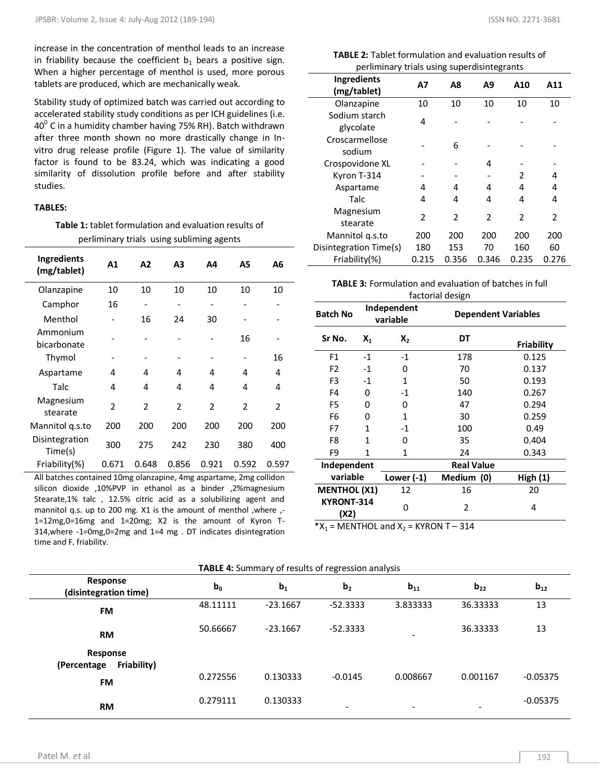increase in the concentration of menthol leads to an increase in friability because the coefficient  $b_1$  bears a positive sign. When a higher percentage of menthol is used, more porous tablets are produced, which are mechanically weak.

Stability study of optimized batch was carried out according to accelerated stability study conditions as per ICH guidelines (i.e.  $40^{\circ}$  C in a humidity chamber having 75% RH). Batch withdrawn after three month shown no more drastically change in Invitro drug release profile (Figure 1). The value of similarity factor is found to be 83.24, which was indicating a good similarity of dissolution profile before and after stability studies.

### **TABLES:**

**Table 1:** tablet formulation and evaluation results of perliminary trials using subliming agents

| <b>Ingredients</b><br>(mg/tablet) | A1                      | A2                       | А3    | Α4             | Α5             | Α6             |
|-----------------------------------|-------------------------|--------------------------|-------|----------------|----------------|----------------|
| Olanzapine                        | 10                      | 10                       | 10    | 10             | 10             | 10             |
| Camphor                           | 16                      | $\overline{\phantom{0}}$ |       |                |                |                |
| Menthol                           |                         | 16                       | 24    | 30             |                |                |
| Ammonium<br>bicarbonate           |                         |                          |       |                | 16             |                |
| Thymol                            |                         |                          |       |                |                | 16             |
| Aspartame                         | 4                       | 4                        | 4     | 4              | 4              | 4              |
| Talc                              | 4                       | 4                        | 4     | 4              | 4              | 4              |
| Magnesium<br>stearate             | $\overline{\mathbf{c}}$ | $\overline{2}$           | 2     | $\overline{2}$ | $\overline{2}$ | $\overline{2}$ |
| Mannitol q.s.to                   | 200                     | 200                      | 200   | 200            | 200            | 200            |
| Disintegration<br>Time(s)         | 300                     | 275                      | 242   | 230            | 380            | 400            |
| Friability(%)                     | 0.671                   | 0.648                    | 0.856 | 0.921          | 0.592          | 0.597          |

All batches contained 10mg olanzapine, 4mg aspartame, 2mg collidon silicon dioxide ,10%PVP in ethanol as a binder ,2%magnesium Stearate,1% talc , 12.5% citric acid as a solubilizing agent and mannitol q.s. up to 200 mg. X1 is the amount of menthol , where  $, -$ 1=12mg,0=16mg and 1=20mg; X2 is the amount of Kyron T-314,where -1=0mg,0=2mg and 1=4 mg . DT indicates disintegration time and F, friability.

| <b>TABLE 2:</b> Tablet formulation and evaluation results of |
|--------------------------------------------------------------|
| perliminary trials using superdisintegrants                  |

| <b>Ingredients</b><br>(mg/tablet) | Α7                      | Α8                       | A9    | A10            | A11   |
|-----------------------------------|-------------------------|--------------------------|-------|----------------|-------|
| Olanzapine                        | 10                      | 10                       | 10    | 10             | 10    |
| Sodium starch<br>glycolate        | 4                       |                          |       |                |       |
| Croscarmellose<br>sodium          |                         | 6                        |       |                |       |
| Crospovidone XL                   |                         |                          | 4     |                |       |
| Kyron T-314                       |                         |                          |       | $\mathfrak z$  | 4     |
| Aspartame                         | 4                       | 4                        | 4     | 4              | 4     |
| Talc                              | 4                       | 4                        | 4     | 4              | 4     |
| Magnesium<br>stearate             | $\overline{\mathbf{c}}$ | $\overline{\phantom{a}}$ | 2     | $\overline{2}$ | 2     |
| Mannitol q.s.to                   | 200                     | 200                      | 200   | 200            | 200   |
| Disintegration Time(s)            | 180                     | 153                      | 70    | 160            | 60    |
| Friability(%)                     | 0.215                   | 0.356                    | 0.346 | 0.235          | 0.276 |

| <b>TABLE 3:</b> Formulation and evaluation of batches in full |
|---------------------------------------------------------------|
| factorial design                                              |

|                     | ייםיכטי ישו ושטטו |                         |                            |                   |  |  |  |  |  |
|---------------------|-------------------|-------------------------|----------------------------|-------------------|--|--|--|--|--|
| <b>Batch No</b>     |                   | Independent<br>variable | <b>Dependent Variables</b> |                   |  |  |  |  |  |
| Sr No.              | Х,                | χ,                      | DT                         | <b>Friability</b> |  |  |  |  |  |
| F <sub>1</sub>      | $-1$              | $-1$                    | 178                        | 0.125             |  |  |  |  |  |
| F <sub>2</sub>      | $-1$              | 0                       | 70                         | 0.137             |  |  |  |  |  |
| F <sub>3</sub>      | $-1$              | 1                       | 50                         | 0.193             |  |  |  |  |  |
| F4                  | 0                 | $-1$                    | 140                        | 0.267             |  |  |  |  |  |
| F5<br>0             |                   | 0                       | 47                         | 0.294             |  |  |  |  |  |
| F6<br>0             |                   | 1                       | 30                         | 0.259             |  |  |  |  |  |
| $\mathbf{1}$<br>F7  |                   | -1                      | 100                        | 0.49              |  |  |  |  |  |
| F8<br>1             |                   | 0                       | 35                         | 0.404             |  |  |  |  |  |
| F9                  | 1                 | 1                       | 24                         | 0.343             |  |  |  |  |  |
| Independent         |                   |                         | <b>Real Value</b>          |                   |  |  |  |  |  |
| variable            |                   | Lower $(-1)$            | Medium (0)                 | High(1)           |  |  |  |  |  |
| <b>MENTHOL (X1)</b> |                   | 12                      | 16                         | 20                |  |  |  |  |  |
| KYRONT-314<br>(X2)  |                   | 0                       | 2                          | 4                 |  |  |  |  |  |

 $X_1$  = MENTHOL and  $X_2$  = KYRON T – 314

| TABLE 4: Summary of results of regression analysis |          |                |                |          |                          |            |  |  |
|----------------------------------------------------|----------|----------------|----------------|----------|--------------------------|------------|--|--|
| Response<br>(disintegration time)                  | $b_0$    | b <sub>1</sub> | b <sub>2</sub> | $b_{11}$ | $b_{22}$                 | $b_{12}$   |  |  |
| <b>FM</b>                                          | 48.11111 | $-23.1667$     | $-52.3333$     | 3.833333 | 36.33333                 | 13         |  |  |
| <b>RM</b>                                          | 50.66667 | $-23.1667$     | $-52.3333$     |          | 36.33333                 | 13         |  |  |
| Response<br>Friability)<br>(Percentage)            |          |                |                |          |                          |            |  |  |
| <b>FM</b>                                          | 0.272556 | 0.130333       | $-0.0145$      | 0.008667 | 0.001167                 | $-0.05375$ |  |  |
| <b>RM</b>                                          | 0.279111 | 0.130333       |                | -        | $\overline{\phantom{a}}$ | $-0.05375$ |  |  |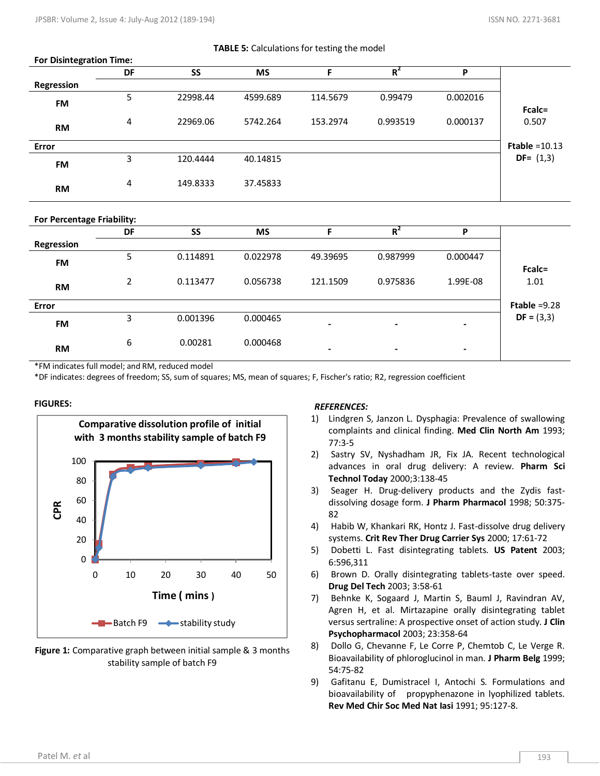### **TABLE 5:** Calculations for testing the model

| <b>FUI DISTRESIATION TIME.</b> |    |          |           |          |          |          |                  |
|--------------------------------|----|----------|-----------|----------|----------|----------|------------------|
|                                | DF | SS       | <b>MS</b> |          | $R^2$    | P        |                  |
| Regression                     |    |          |           |          |          |          |                  |
|                                | 5  | 22998.44 | 4599.689  | 114.5679 | 0.99479  | 0.002016 |                  |
| <b>FM</b>                      |    |          |           |          |          |          | Fcalc=           |
|                                | 4  | 22969.06 | 5742.264  | 153.2974 | 0.993519 | 0.000137 | 0.507            |
| <b>RM</b>                      |    |          |           |          |          |          |                  |
| Error                          |    |          |           |          |          |          | Ftable = $10.13$ |
| <b>FM</b>                      | 3  | 120.4444 | 40.14815  |          |          |          | $DF = (1,3)$     |
|                                |    |          |           |          |          |          |                  |
| <b>RM</b>                      | 4  | 149.8333 | 37.45833  |          |          |          |                  |
|                                |    |          |           |          |          |          |                  |

**For Percentage Friability:** 

**For Disintegration Time:**

|            | <b>DF</b> | <b>SS</b> | <b>MS</b> |                | $R^2$    | P              |                |
|------------|-----------|-----------|-----------|----------------|----------|----------------|----------------|
| Regression |           |           |           |                |          |                |                |
| <b>FM</b>  | 5.        | 0.114891  | 0.022978  | 49.39695       | 0.987999 | 0.000447       |                |
|            |           |           |           |                |          |                | Fcalc=         |
| <b>RM</b>  |           | 0.113477  | 0.056738  | 121.1509       | 0.975836 | 1.99E-08       | 1.01           |
|            |           |           |           |                |          |                |                |
| Error      |           |           |           |                |          |                | Ftable $=9.28$ |
| <b>FM</b>  | 3         | 0.001396  | 0.000465  | $\blacksquare$ |          | ۰              | $DF = (3,3)$   |
|            |           |           |           |                |          |                |                |
| <b>RM</b>  | 6         | 0.00281   | 0.000468  | $\blacksquare$ | $\,$     | $\blacksquare$ |                |
|            |           |           |           |                |          |                |                |

\*FM indicates full model; and RM, reduced model

\*DF indicates: degrees of freedom; SS, sum of squares; MS, mean of squares; F, Fischer's ratio; R2, regression coefficient

### **FIGURES:**



**Figure 1:** Comparative graph between initial sample & 3 months stability sample of batch F9

### *REFERENCES:*

- 1) Lindgren S, Janzon L. Dysphagia: Prevalence of swallowing complaints and clinical finding. **Med Clin North Am** 1993; 77:3-5
- 2) Sastry SV, Nyshadham JR, Fix JA. Recent technological advances in oral drug delivery: A review. **Pharm Sci Technol Today** 2000;3:138-45
- 3) Seager H. Drug-delivery products and the Zydis fastdissolving dosage form. **J Pharm Pharmacol** 1998; 50:375- 82
- 4) Habib W, Khankari RK, Hontz J. Fast-dissolve drug delivery systems. **Crit Rev Ther Drug Carrier Sys** 2000; 17:61-72
- 5) Dobetti L. Fast disintegrating tablets. **US Patent** 2003; 6:596,311
- 6) Brown D. Orally disintegrating tablets-taste over speed. **Drug Del Tech** 2003; 3:58-61
- 7) Behnke K, Sogaard J, Martin S, Bauml J, Ravindran AV, Agren H, et al. Mirtazapine orally disintegrating tablet versus sertraline: A prospective onset of action study. **J Clin Psychopharmacol** 2003; 23:358-64
- 8) Dollo G, Chevanne F, Le Corre P, Chemtob C, Le Verge R. Bioavailability of phloroglucinol in man. **J Pharm Belg** 1999; 54:75-82
- 9) Gafitanu E, Dumistracel I, Antochi S. Formulations and bioavailability of propyphenazone in lyophilized tablets. **Rev Med Chir Soc Med Nat Iasi** 1991; 95:127-8.